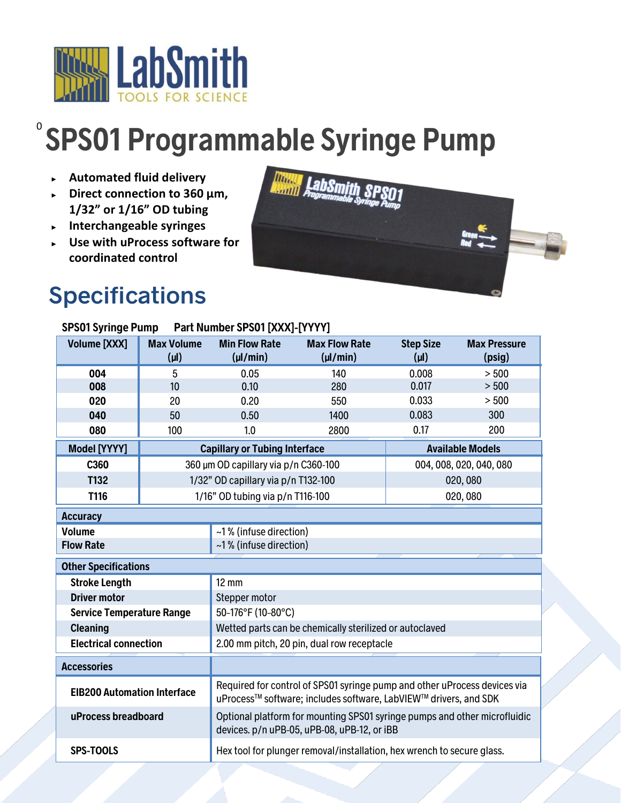

## 0 **SPS01 Programmable Syringe Pump**

- ► **Automated fluid delivery**
- ► **Direct connection to 360 µm, 1/32" or 1/16" OD tubing**
- ► **Interchangeable syringes**
- ► **Use with uProcess software for coordinated control**

## **Specifications**



| <b>SPS01 Syringe Pump</b><br>Part Number SPS01 [XXX]-[YYYY] |                                      |                                                                                                                                               |                                      |                               |                               |
|-------------------------------------------------------------|--------------------------------------|-----------------------------------------------------------------------------------------------------------------------------------------------|--------------------------------------|-------------------------------|-------------------------------|
| <b>Volume [XXX]</b>                                         | <b>Max Volume</b><br>$(\mu I)$       | <b>Min Flow Rate</b><br>$(\mu$ /min)                                                                                                          | <b>Max Flow Rate</b><br>$(\mu$ /min) | <b>Step Size</b><br>$(\mu I)$ | <b>Max Pressure</b><br>(psig) |
| 004                                                         | 5                                    | 0.05                                                                                                                                          | 140                                  | 0.008                         | > 500                         |
| 008                                                         | 10                                   | 0.10                                                                                                                                          | 280                                  | 0.017                         | > 500                         |
| 020                                                         | 20                                   | 0.20                                                                                                                                          | 550                                  | 0.033                         | > 500                         |
| 040                                                         | 50                                   | 0.50                                                                                                                                          | 1400                                 | 0.083                         | 300                           |
| 080                                                         | 100                                  | 1.0                                                                                                                                           | 2800                                 | 0.17                          | 200                           |
| <b>Model [YYYY]</b>                                         | <b>Capillary or Tubing Interface</b> |                                                                                                                                               |                                      | <b>Available Models</b>       |                               |
| C360                                                        | 360 µm OD capillary via p/n C360-100 |                                                                                                                                               | 004, 008, 020, 040, 080              |                               |                               |
| T132                                                        | 1/32" OD capillary via p/n T132-100  |                                                                                                                                               | 020,080                              |                               |                               |
| T116                                                        | 1/16" OD tubing via p/n T116-100     |                                                                                                                                               | 020,080                              |                               |                               |
| <b>Accuracy</b>                                             |                                      |                                                                                                                                               |                                      |                               |                               |
| <b>Volume</b>                                               |                                      | ~1% (infuse direction)                                                                                                                        |                                      |                               |                               |
| <b>Flow Rate</b>                                            |                                      | ~1% (infuse direction)                                                                                                                        |                                      |                               |                               |
| <b>Other Specifications</b>                                 |                                      |                                                                                                                                               |                                      |                               |                               |
| <b>Stroke Length</b>                                        |                                      | $12 \text{ mm}$                                                                                                                               |                                      |                               |                               |
| <b>Driver motor</b>                                         |                                      | Stepper motor                                                                                                                                 |                                      |                               |                               |
| <b>Service Temperature Range</b>                            |                                      | 50-176°F (10-80°C)                                                                                                                            |                                      |                               |                               |
| <b>Cleaning</b>                                             |                                      | Wetted parts can be chemically sterilized or autoclaved                                                                                       |                                      |                               |                               |
| <b>Electrical connection</b>                                |                                      | 2.00 mm pitch, 20 pin, dual row receptacle                                                                                                    |                                      |                               |                               |
| <b>Accessories</b>                                          |                                      |                                                                                                                                               |                                      |                               |                               |
| <b>EIB200 Automation Interface</b>                          |                                      | Required for control of SPS01 syringe pump and other uProcess devices via<br>uProcess™ software; includes software, LabVIEW™ drivers, and SDK |                                      |                               |                               |
| uProcess breadboard                                         |                                      | Optional platform for mounting SPS01 syringe pumps and other microfluidic<br>devices. p/n uPB-05, uPB-08, uPB-12, or iBB                      |                                      |                               |                               |
| <b>SPS-TOOLS</b>                                            |                                      | Hex tool for plunger removal/installation, hex wrench to secure glass.                                                                        |                                      |                               |                               |